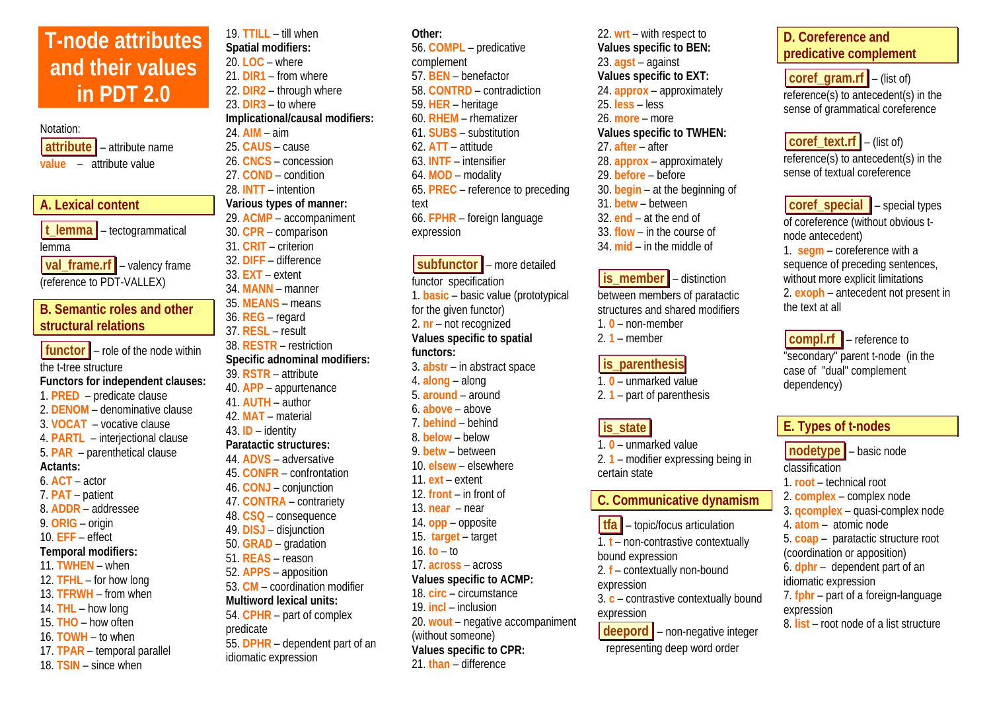# **T-node attributes and their values in PDT 2.0**



**val\_frame.rf** – valency frame (reference to PDT-VALLEX)

## **B. Semantic roles and other structural relations**

**functor**  $\blacksquare$  – role of the node within the t-tree structure **Functors for independent clauses:**  1. **PRED** – predicate clause 2. **DENOM** – denominative clause 3. **VOCAT** – vocative clause 4. **PARTL** – interjectional clause 5. **PAR** – parenthetical clause **Actants:** 6. **ACT** – actor 7. **PAT** – patient 8. **ADDR** – addressee 9. **ORIG** – origin 10. **EFF** – effect **Temporal modifiers:**  11. **TWHEN** – when 12. **TFHL** – for how long 13. **TFRWH** – from when 14. **THL** – how long 15. **THO** – how often 16. **TOWH** – to when 17. **TPAR** – temporal parallel 18. **TSIN** – since when

19. **TTILL** – till when **Spatial modifiers:**  20. **LOC** – where 21. **DIR1** – from where 22. **DIR2** – through where 23. **DIR3** – to where **Implicational/causal modifiers:**  24. **AIM** – aim 25. **CAUS** – cause 26. **CNCS** – concession 27. **COND** – condition 28. **INTT** – intention **Various types of manner:**  29. **ACMP** – accompaniment 30. **CPR** – comparison 31. **CRIT** – criterion 32. **DIFF** – difference 33. **EXT** – extent 34. **MANN** – manner 35. **MEANS** – means 36. **REG** – regard 37. **RESL** – result 38. **RESTR** – restriction **Specific adnominal modifiers:**  39. **RSTR** – attribute 40. **APP** – appurtenance 41. **AUTH** – author 42. **MAT** – material 43. **ID** – identity **Paratactic structures:** 44. **ADVS** – adversative 45. **CONFR** – confrontation 46. **CONJ** – conjunction 47. **CONTRA** – contrariety 48. **CSQ** – consequence 49. **DISJ** – disjunction 50. **GRAD** – gradation 51. **REAS** – reason 52. **APPS** – apposition 53. **CM** – coordination modifier **Multiword lexical units:**  54. **CPHR** – part of complex predicate 55. **DPHR** – dependent part of an idiomatic expression

**Other:** 56. **COMPL** – predicative complement 57. **BEN** – benefactor 58. **CONTRD** – contradiction 59. **HER** – heritage 60. **RHEM** – rhematizer 61. **SUBS** – substitution 62. **ATT** – attitude 63. **INTF** – intensifier 64. **MOD** – modality 65. **PREC** – reference to preceding text 66. **FPHR** – foreign language expression

 **subfunctor** – more detailed functor specification 1. **basic** – basic value (prototypical for the given functor) 2. **nr** – not recognized **Values specific to spatial functors:** 3. **abstr** – in abstract space 4. **along** – along 5. **around** – around 6. **above** – above 7. **behind** – behind 8. **below** – below 9. **betw** – between 10. **elsew** – elsewhere 11. **ext** – extent 12. **front** – in front of 13. **near** – near 14. **opp** – opposite 15. **target** – target 16.  $\mathbf{t}$ **o** –  $\mathbf{t}$ <sup>o</sup> 17. **across** – across **Values specific to ACMP:**  18. **circ** – circumstance 19. **incl** – inclusion 20. **wout** – negative accompaniment (without someone) **Values specific to CPR:**  21. **than** – difference

22. **wrt** – with respect to **Values specific to BEN:**  23. **agst** – against **Values specific to EXT:**  24. **approx** – approximately 25. **less** – less 26. **more** – more **Values specific to TWHEN:**  27. **after** – after 28. **approx** – approximately 29. **before** – before 30. **begin** – at the beginning of 31. **betw** – between 32. **end** – at the end of 33. **flow** – in the course of 34. **mid** – in the middle of

**is member** – distinction between members of paratactic structures and shared modifiers 1. **0** – non-member 2. **1** – member

#### **lis** parenthesis

1. **0** – unmarked value 2. **1** – part of parenthesis

# **is\_state**

1. **0** – unmarked value 2. **1** – modifier expressing being in certain state

## **C. Communicative dynamism**

**tfa** – topic/focus articulation 1. **t** – non-contrastive contextually bound expression 2. **f** – contextually non-bound expression 3. **<sup>c</sup>** – contrastive contextually bound expression

**deepord** – non-negative integer representing deep word order

## **D. Coreference and predicative complement**

 **coref\_gram.rf** – (list of) reference(s) to antecedent(s) in the sense of grammatical coreference

 **coref\_text.rf** – (list of) reference(s) to antecedent(s) in the sense of textual coreference

 **coref\_special** – special types of coreference (without obvious tnode antecedent)

1. **segm** – coreference with a sequence of preceding sentences, without more explicit limitations 2. **exoph** – antecedent not present in the text at all

**compl.rf**  $\blacksquare$  – reference to "secondary" parent t-node (in the case of "dual" complement dependency)

## **E. Types of t-nodes**

 **nodetype** – basic node classification 1. **root** – technical root 2. **complex** – complex node 3. **qcomplex** – quasi-complex node 4. **atom** – atomic node 5. **coap** – paratactic structure root (coordination or apposition) 6. **dphr** – dependent part of an idiomatic expression 7. **fphr** – part of a foreign-language expression 8. **list** – root node of a list structure